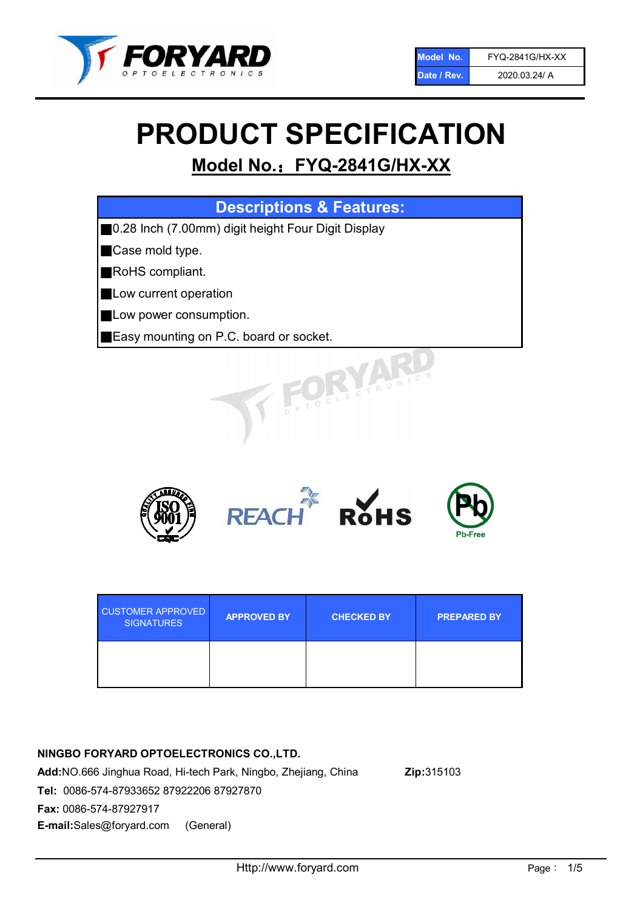

# PRODUCT SPECIFICATION

# Model No.: FYQ-2841G/HX-XX

| <b>Descriptions &amp; Features:</b>                 |
|-----------------------------------------------------|
| ■0.28 Inch (7.00mm) digit height Four Digit Display |
| Case mold type.                                     |
| RoHS compliant.                                     |
| Low current operation                               |
| Low power consumption.                              |
| Easy mounting on P.C. board or socket.              |
| TOELECTRONICS                                       |



| <b>CUSTOMER APPROVED</b><br><b>SIGNATURES</b> | <b>APPROVED BY</b> | <b>CHECKED BY</b> | <b>PREPARED BY</b> |
|-----------------------------------------------|--------------------|-------------------|--------------------|
|                                               |                    |                   |                    |

# NINGBO FORYARD OPTOELECTRONICS CO.,LTD.

Add:NO.666 Jinghua Road, Hi-tech Park, Ningbo, Zhejiang, China Zip:315103 Tel: 0086-574-87933652 87922206 87927870 Fax: 0086-574-87927917 E-mail:Sales@foryard.com (General)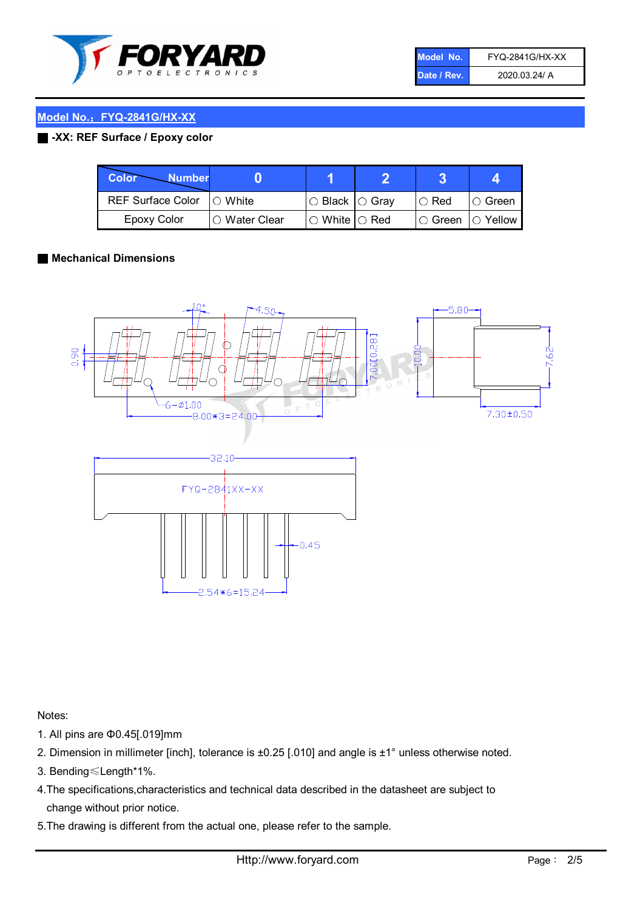

| Model No.   | <b>FYQ-2841G/HX-XX</b> |
|-------------|------------------------|
| Date / Rev. | 2020.03.24/ A          |

# Model No.: FYQ-2841G/HX-XX

#### ■ -XX: REF Surface / Epoxy color

| Color<br><b>Number</b>      |                |                                                   |                              |               |
|-----------------------------|----------------|---------------------------------------------------|------------------------------|---------------|
| REF Surface Color   O White |                | $\circ$ Black $\circ$ Gray                        | $\cup$ Red                   | $\circ$ Green |
| Epoxy Color                 | I∩ Water Clear | $\mathbin{\varcap}$ White $\mathbin{\varcap}$ Red | $\circ$ Green $\circ$ Yellow |               |

#### ■ Mechanical Dimensions



Notes:

- 1. All pins are Φ0.45[.019]mm
- 2. Dimension in millimeter [inch], tolerance is ±0.25 [.010] and angle is ±1° unless otherwise noted.
- 3. Bending≤Length\*1%.
- 4.The specifications,characteristics and technical data described in the datasheet are subject to change without prior notice.
- 5.The drawing is different from the actual one, please refer to the sample.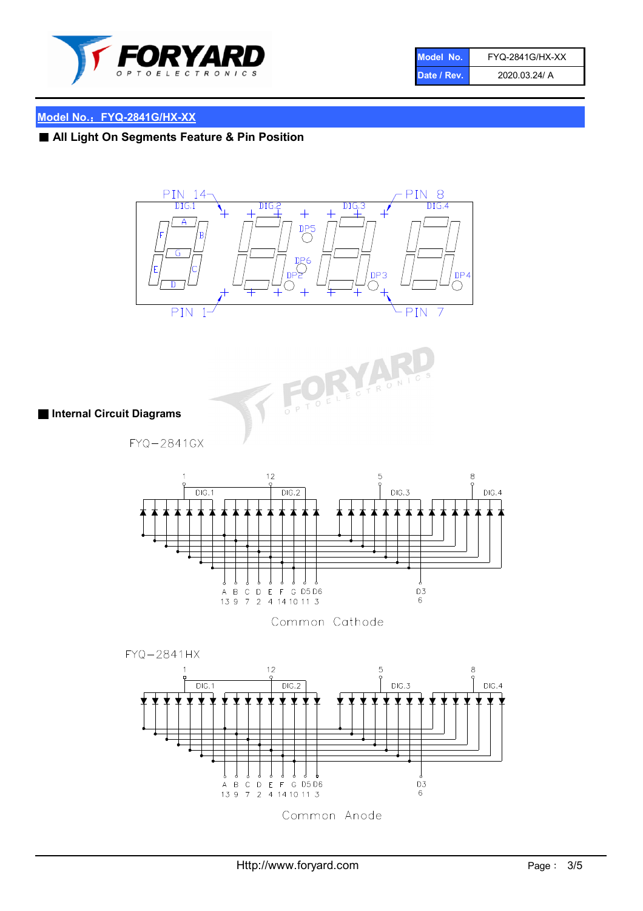

| Model No.   | <b>FYQ-2841G/HX-XX</b> |
|-------------|------------------------|
| Date / Rev. | 2020.03.24/ A          |

# Model No.: FYQ-2841G/HX-XX

■ All Light On Segments Feature & Pin Position





■ Internal Circuit Diagrams

FYQ-2841GX



Common Cathode

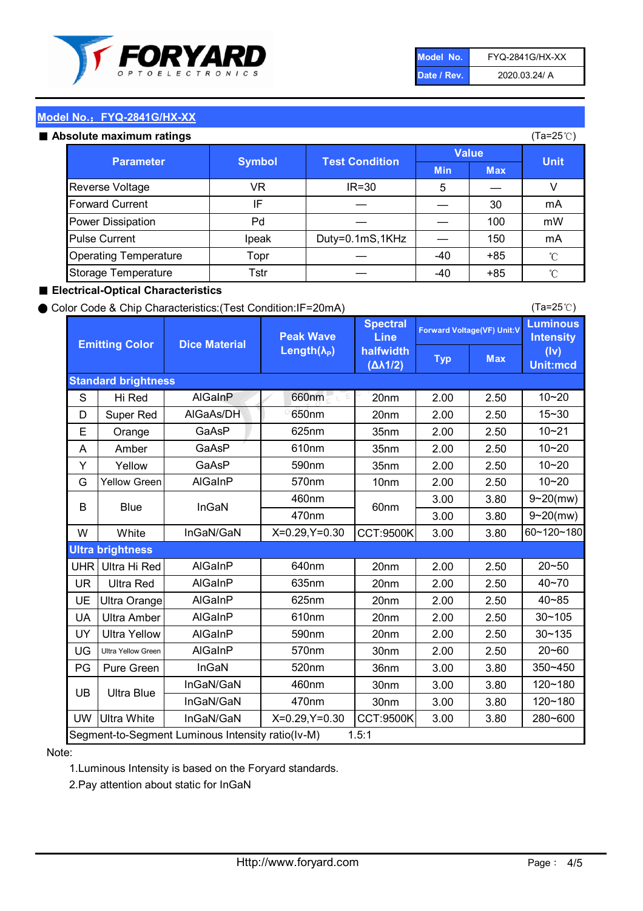

| Model No.   | <b>FYQ-2841G/HX-XX</b> |
|-------------|------------------------|
| Date / Rev. | 2020.03.24/ A          |

(Ta=25℃)

### Model No.: FYQ-2841G/HX-XX

|  | Absolute maximum ratings |  |
|--|--------------------------|--|
|  |                          |  |

| solute maximum ratings       |       |                                        |              |            | (Ta=25℃)    |
|------------------------------|-------|----------------------------------------|--------------|------------|-------------|
| <b>Parameter</b>             |       | <b>Test Condition</b><br><b>Symbol</b> | <b>Value</b> |            |             |
|                              |       |                                        | <b>Min</b>   | <b>Max</b> | <b>Unit</b> |
| Reverse Voltage              | VR    | $IR = 30$                              | 5            |            |             |
| <b>Forward Current</b>       | IF    |                                        |              | 30         | mA          |
| Power Dissipation            | Pd    |                                        |              | 100        | mW          |
| <b>Pulse Current</b>         | Ipeak | Duty=0.1mS,1KHz                        |              | 150        | mA          |
| <b>Operating Temperature</b> | Topr  |                                        | $-40$        | $+85$      | °C          |
| Storage Temperature          | Tstr  |                                        | -40          | $+85$      | °C          |

#### ■ Electrical-Optical Characteristics

#### ● Color Code & Chip Characteristics:(Test Condition:IF=20mA)

Typ Max S | Hi $\textsf{Red}$  | AlGaInP | 660nm LE 20nm | 2.00 | 2.50 D | Super Red | AIGaAs/DH | 650nm | 20nm | 2.00 | 2.50 E | Orange | GaAsP | 625nm | 35nm | 2.00 | 2.50 A | Amber | GaAsP | 610nm | 35nm | 2.00 | 2.50 Y | Yellow | GaAsP | 590nm | 35nm | 2.00 | 2.50 G Yellow Green AIGaInP | 570nm | 10nm | 2.00 | 2.50 3.00 3.80 3.00 3.80 W | White | InGaN/GaN | X=0.29,Y=0.30 |CCT:9500K| 3.00 | 3.80 UHR Ultra Hi Red | AlGaInP | 640nm | 20nm | 2.00 | 2.50 UR | Ultra Red | AlGaInP | 635nm | 20nm | 2.00 | 2.50 UE Ultra Orange | AIGaInP | 625nm | 20nm | 2.00 | 2.50 UA Ultra Amber | AIGaInP | 610nm | 20nm | 2.00 | 2.50  $UV$  Ultra Yellow  $\vert$  AlGaInP  $\vert$  590nm  $\vert$  20nm  $\vert$  2.00  $\vert$  2.50  $\text{UG}$  Ultra Yellow Green | AIGaInP | 570nm | 30nm | 2.00 | 2.50 PG Pure Green | InGaN | 520nm | 36nm | 3.00 | 3.80 30nm 3.00 3.80 30nm 3.00 3.80 UW |Ultra White | InGaN/GaN | X=0.29,Y=0.30 |CCT:9500K| 3.00 | 3.80 10~20 Standard brightness Forward Voltage(VF) Unit:V 15~30 10~20 10~20 625nm GaAsP 590nm **Emitting Color Dice Material** 10~21 610nm Luminous **Intensity** (Iv) Unit:mcd AlGainP 660nm GaAsP GaAsP AlGaAs/DH **Spectral** Line halfwidth (∆λ1/2) Peak Wave Length $(\lambda_{\rm P})$ UB 460nm 635nm AlGaInP AlGaInP AlGaInP InGaN/GaN AlGaInP | 570nm | 10nm | 2.00 | 2.50 | 10~20 30~105 30~135 460nm 520nm Ultra brightness **AlGaInP** AlGaInP 60nm AlGaInP 640nm Segment-to-Segment Luminous Intensity ratio(Iv-M) 1.5:1 610nm 9~20(mw) 350~450 470nm 120~180 120~180 Ultra Blue InGaN/GaN InGaN/GaN 9~20(mw) 20~50 280~600 570nm | 30nm | 2.00 | 2.50 | 20~60 470nm 590nm InGaN/GaN B Blue I InGaN 40~85 60~120~180 40~70

#### Note:

1.Luminous Intensity is based on the Foryard standards.

2.Pay attention about static for InGaN